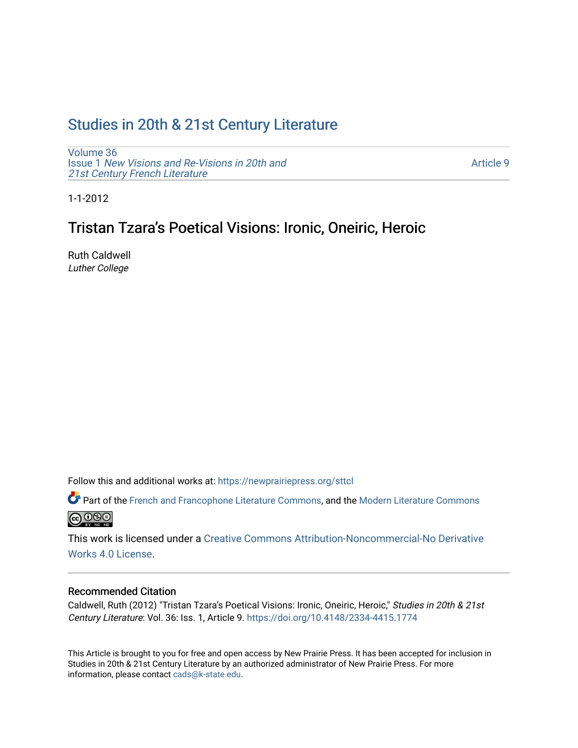# [Studies in 20th & 21st Century Literature](https://newprairiepress.org/sttcl)

[Volume 36](https://newprairiepress.org/sttcl/vol36) Issue 1 [New Visions and Re-Visions in 20th and](https://newprairiepress.org/sttcl/vol36/iss1) [21st Century French Literature](https://newprairiepress.org/sttcl/vol36/iss1)

[Article 9](https://newprairiepress.org/sttcl/vol36/iss1/9) 

1-1-2012

# Tristan Tzara's Poetical Visions: Ironic, Oneiric, Heroic

Ruth Caldwell Luther College

Follow this and additional works at: [https://newprairiepress.org/sttcl](https://newprairiepress.org/sttcl?utm_source=newprairiepress.org%2Fsttcl%2Fvol36%2Fiss1%2F9&utm_medium=PDF&utm_campaign=PDFCoverPages) 

**Part of the [French and Francophone Literature Commons,](http://network.bepress.com/hgg/discipline/465?utm_source=newprairiepress.org%2Fsttcl%2Fvol36%2Fiss1%2F9&utm_medium=PDF&utm_campaign=PDFCoverPages) and the [Modern Literature Commons](http://network.bepress.com/hgg/discipline/1050?utm_source=newprairiepress.org%2Fsttcl%2Fvol36%2Fiss1%2F9&utm_medium=PDF&utm_campaign=PDFCoverPages) @000** 

This work is licensed under a [Creative Commons Attribution-Noncommercial-No Derivative](https://creativecommons.org/licenses/by-nc-nd/4.0/)  [Works 4.0 License](https://creativecommons.org/licenses/by-nc-nd/4.0/).

## Recommended Citation

Caldwell, Ruth (2012) "Tristan Tzara's Poetical Visions: Ironic, Oneiric, Heroic," Studies in 20th & 21st Century Literature: Vol. 36: Iss. 1, Article 9. <https://doi.org/10.4148/2334-4415.1774>

This Article is brought to you for free and open access by New Prairie Press. It has been accepted for inclusion in Studies in 20th & 21st Century Literature by an authorized administrator of New Prairie Press. For more information, please contact [cads@k-state.edu](mailto:cads@k-state.edu).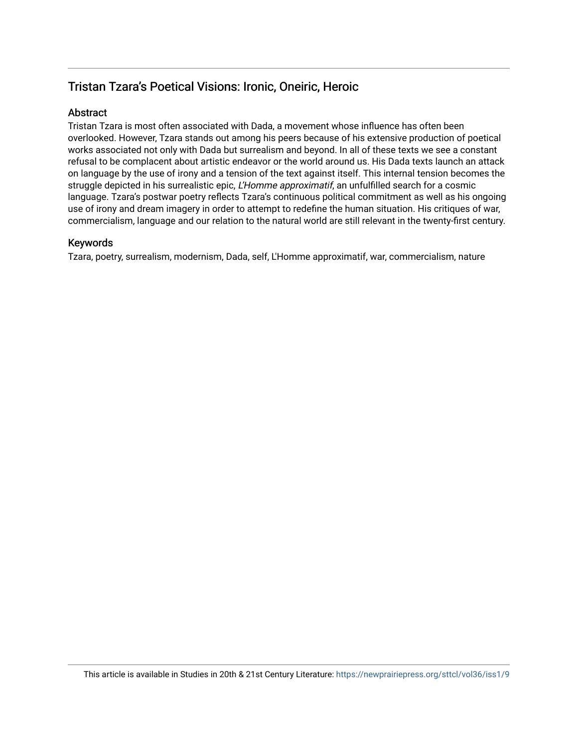# Tristan Tzara's Poetical Visions: Ironic, Oneiric, Heroic

# **Abstract**

Tristan Tzara is most often associated with Dada, a movement whose influence has often been overlooked. However, Tzara stands out among his peers because of his extensive production of poetical works associated not only with Dada but surrealism and beyond. In all of these texts we see a constant refusal to be complacent about artistic endeavor or the world around us. His Dada texts launch an attack on language by the use of irony and a tension of the text against itself. This internal tension becomes the struggle depicted in his surrealistic epic, L'Homme approximatif, an unfulfilled search for a cosmic language. Tzara's postwar poetry reflects Tzara's continuous political commitment as well as his ongoing use of irony and dream imagery in order to attempt to redefine the human situation. His critiques of war, commercialism, language and our relation to the natural world are still relevant in the twenty-first century.

# Keywords

Tzara, poetry, surrealism, modernism, Dada, self, L'Homme approximatif, war, commercialism, nature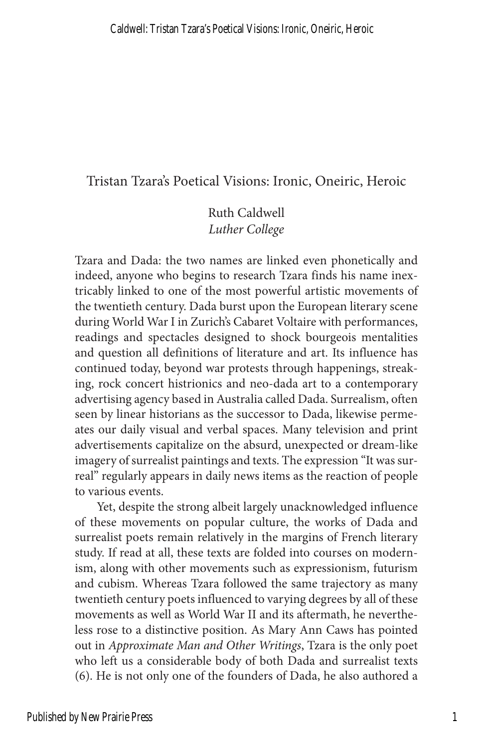## Tristan Tzara's Poetical Visions: Ironic, Oneiric, Heroic

## Ruth Caldwell *Luther College*

Tzara and Dada: the two names are linked even phonetically and indeed, anyone who begins to research Tzara finds his name inextricably linked to one of the most powerful artistic movements of the twentieth century. Dada burst upon the European literary scene during World War I in Zurich's Cabaret Voltaire with performances, readings and spectacles designed to shock bourgeois mentalities and question all definitions of literature and art. Its influence has continued today, beyond war protests through happenings, streaking, rock concert histrionics and neo-dada art to a contemporary advertising agency based in Australia called Dada. Surrealism, often seen by linear historians as the successor to Dada, likewise permeates our daily visual and verbal spaces. Many television and print advertisements capitalize on the absurd, unexpected or dream-like imagery of surrealist paintings and texts. The expression "It was surreal" regularly appears in daily news items as the reaction of people to various events.

Yet, despite the strong albeit largely unacknowledged influence of these movements on popular culture, the works of Dada and surrealist poets remain relatively in the margins of French literary study. If read at all, these texts are folded into courses on modernism, along with other movements such as expressionism, futurism and cubism. Whereas Tzara followed the same trajectory as many twentieth century poets influenced to varying degrees by all of these movements as well as World War II and its aftermath, he nevertheless rose to a distinctive position. As Mary Ann Caws has pointed out in *Approximate Man and Other Writings*, Tzara is the only poet who left us a considerable body of both Dada and surrealist texts (6). He is not only one of the founders of Dada, he also authored a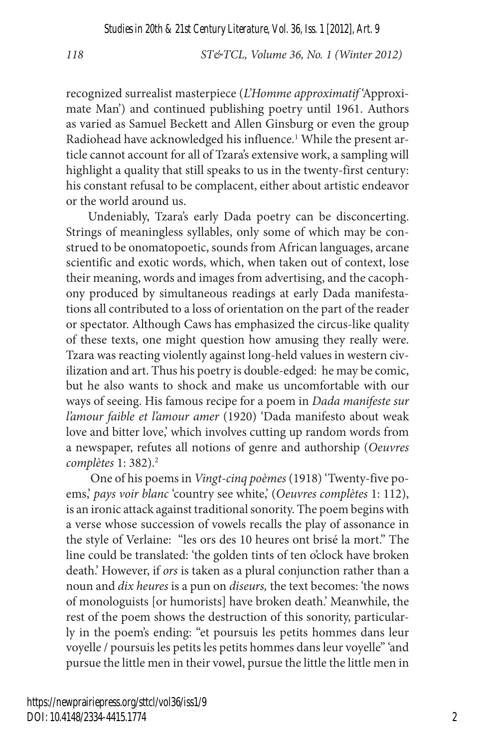recognized surrealist masterpiece (*L'Homme approximatif* 'Approximate Man') and continued publishing poetry until 1961. Authors as varied as Samuel Beckett and Allen Ginsburg or even the group Radiohead have acknowledged his influence.<sup>1</sup> While the present article cannot account for all of Tzara's extensive work, a sampling will highlight a quality that still speaks to us in the twenty-first century: his constant refusal to be complacent, either about artistic endeavor or the world around us.

Undeniably, Tzara's early Dada poetry can be disconcerting. Strings of meaningless syllables, only some of which may be construed to be onomatopoetic, sounds from African languages, arcane scientific and exotic words, which, when taken out of context, lose their meaning, words and images from advertising, and the cacophony produced by simultaneous readings at early Dada manifestations all contributed to a loss of orientation on the part of the reader or spectator. Although Caws has emphasized the circus-like quality of these texts, one might question how amusing they really were. Tzara was reacting violently against long-held values in western civilization and art. Thus his poetry is double-edged: he may be comic, but he also wants to shock and make us uncomfortable with our ways of seeing. His famous recipe for a poem in *Dada manifeste sur l'amour faible et l'amour amer* (1920) 'Dada manifesto about weak love and bitter love,' which involves cutting up random words from a newspaper, refutes all notions of genre and authorship (*Oeuvres complètes* 1: 382).2

 One of his poems in *Vingt-cinq poèmes* (1918) 'Twenty-five poems,' *pays voir blanc* 'country see white,' (*Oeuvres complètes* 1: 112), is an ironic attack against traditional sonority. The poem begins with a verse whose succession of vowels recalls the play of assonance in the style of Verlaine: "les ors des 10 heures ont brisé la mort." The line could be translated: 'the golden tints of ten o'clock have broken death.' However, if *ors* is taken as a plural conjunction rather than a noun and *dix heures* is a pun on *diseurs,* the text becomes: 'the nows of monologuists [or humorists] have broken death.' Meanwhile, the rest of the poem shows the destruction of this sonority, particularly in the poem's ending: "et poursuis les petits hommes dans leur voyelle / poursuis les petits les petits hommes dans leur voyelle" 'and pursue the little men in their vowel, pursue the little the little men in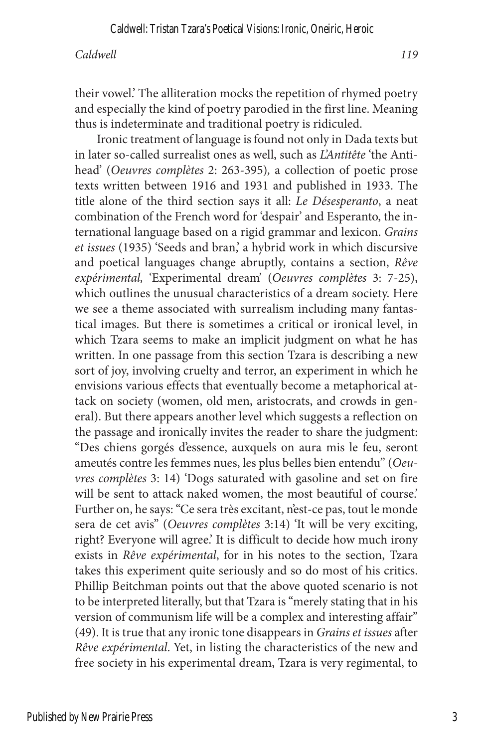thus is indeterminate and traditional poetry is ridiculed.

#### *Caldwell 119*

Ironic treatment of language is found not only in Dada texts but in later so-called surrealist ones as well, such as *L'Antitête* 'the Antihead' (*Oeuvres complètes* 2: 263-395)*,* a collection of poetic prose texts written between 1916 and 1931 and published in 1933. The title alone of the third section says it all: *Le Désesperanto*, a neat combination of the French word for 'despair' and Esperanto, the international language based on a rigid grammar and lexicon. *Grains et issues* (1935) 'Seeds and bran,' a hybrid work in which discursive and poetical languages change abruptly, contains a section, *Rêve expérimental,* 'Experimental dream' (*Oeuvres complètes* 3: 7-25), which outlines the unusual characteristics of a dream society. Here we see a theme associated with surrealism including many fantastical images. But there is sometimes a critical or ironical level, in which Tzara seems to make an implicit judgment on what he has written. In one passage from this section Tzara is describing a new sort of joy, involving cruelty and terror, an experiment in which he envisions various effects that eventually become a metaphorical attack on society (women, old men, aristocrats, and crowds in general). But there appears another level which suggests a reflection on the passage and ironically invites the reader to share the judgment: "Des chiens gorgés d'essence, auxquels on aura mis le feu, seront ameutés contre les femmes nues, les plus belles bien entendu" (*Oeuvres complètes* 3: 14) 'Dogs saturated with gasoline and set on fire will be sent to attack naked women, the most beautiful of course.' Further on, he says: "Ce sera très excitant, n'est-ce pas, tout le monde sera de cet avis" (*Oeuvres complètes* 3:14) 'It will be very exciting, right? Everyone will agree.' It is difficult to decide how much irony exists in *Rêve expérimental*, for in his notes to the section, Tzara takes this experiment quite seriously and so do most of his critics. Phillip Beitchman points out that the above quoted scenario is not to be interpreted literally, but that Tzara is "merely stating that in his version of communism life will be a complex and interesting affair" (49). It is true that any ironic tone disappears in *Grains et issues* after *Rêve expérimental*. Yet, in listing the characteristics of the new and free society in his experimental dream, Tzara is very regimental, to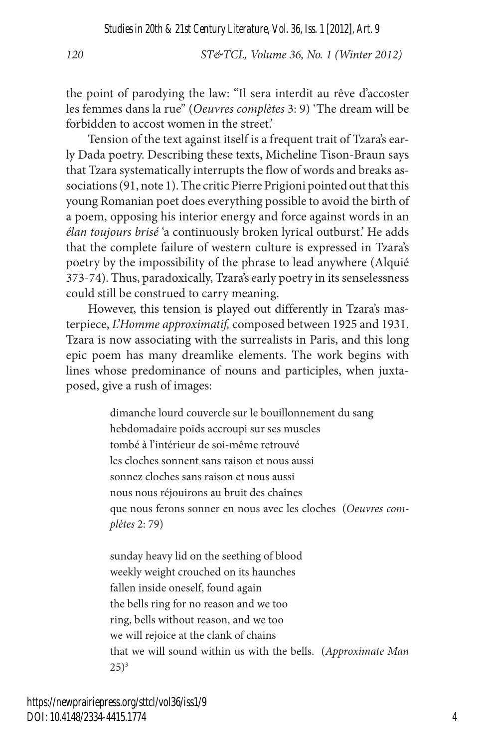the point of parodying the law: "Il sera interdit au rêve d'accoster les femmes dans la rue" (*Oeuvres complètes* 3: 9) 'The dream will be forbidden to accost women in the street.'

Tension of the text against itself is a frequent trait of Tzara's early Dada poetry. Describing these texts, Micheline Tison-Braun says that Tzara systematically interrupts the flow of words and breaks associations (91, note 1). The critic Pierre Prigioni pointed out that this young Romanian poet does everything possible to avoid the birth of a poem, opposing his interior energy and force against words in an *élan toujours brisé* 'a continuously broken lyrical outburst.' He adds that the complete failure of western culture is expressed in Tzara's poetry by the impossibility of the phrase to lead anywhere (Alquié 373-74). Thus, paradoxically, Tzara's early poetry in its senselessness could still be construed to carry meaning.

However, this tension is played out differently in Tzara's masterpiece, *L'Homme approximatif,* composed between 1925 and 1931. Tzara is now associating with the surrealists in Paris, and this long epic poem has many dreamlike elements. The work begins with lines whose predominance of nouns and participles, when juxtaposed, give a rush of images:

> dimanche lourd couvercle sur le bouillonnement du sang hebdomadaire poids accroupi sur ses muscles tombé à l'intérieur de soi-même retrouvé les cloches sonnent sans raison et nous aussi sonnez cloches sans raison et nous aussi nous nous réjouirons au bruit des chaînes que nous ferons sonner en nous avec les cloches (*Oeuvres complètes* 2: 79)

> sunday heavy lid on the seething of blood weekly weight crouched on its haunches fallen inside oneself, found again the bells ring for no reason and we too ring, bells without reason, and we too we will rejoice at the clank of chains that we will sound within us with the bells. (*Approximate Man*   $(25)^3$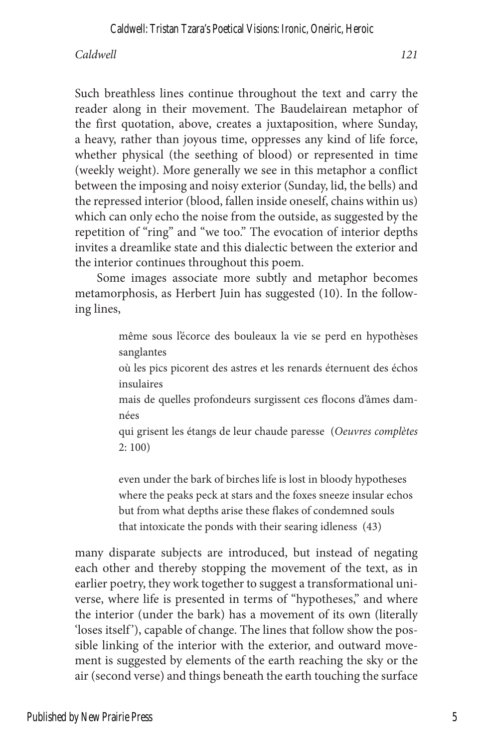Such breathless lines continue throughout the text and carry the reader along in their movement. The Baudelairean metaphor of the first quotation, above, creates a juxtaposition, where Sunday, a heavy, rather than joyous time, oppresses any kind of life force, whether physical (the seething of blood) or represented in time (weekly weight). More generally we see in this metaphor a conflict between the imposing and noisy exterior (Sunday, lid, the bells) and the repressed interior (blood, fallen inside oneself, chains within us) which can only echo the noise from the outside, as suggested by the repetition of "ring" and "we too." The evocation of interior depths invites a dreamlike state and this dialectic between the exterior and the interior continues throughout this poem.

Some images associate more subtly and metaphor becomes metamorphosis, as Herbert Juin has suggested (10). In the following lines,

> même sous l'écorce des bouleaux la vie se perd en hypothèses sanglantes

> où les pics picorent des astres et les renards éternuent des échos insulaires

> mais de quelles profondeurs surgissent ces flocons d'âmes damnées

> qui grisent les étangs de leur chaude paresse (*Oeuvres complètes*  2: 100)

even under the bark of birches life is lost in bloody hypotheses where the peaks peck at stars and the foxes sneeze insular echos but from what depths arise these flakes of condemned souls that intoxicate the ponds with their searing idleness (43)

many disparate subjects are introduced, but instead of negating each other and thereby stopping the movement of the text, as in earlier poetry, they work together to suggest a transformational universe, where life is presented in terms of "hypotheses," and where the interior (under the bark) has a movement of its own (literally 'loses itself'), capable of change. The lines that follow show the possible linking of the interior with the exterior, and outward movement is suggested by elements of the earth reaching the sky or the air (second verse) and things beneath the earth touching the surface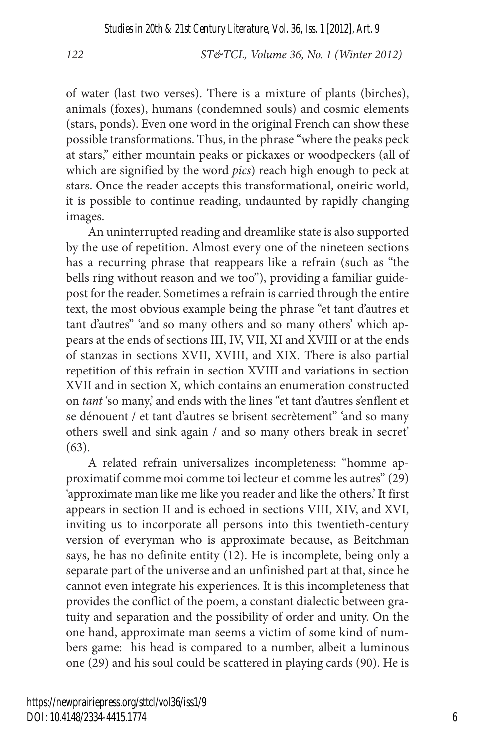*Studies in 20th & 21st Century Literature, Vol. 36, Iss. 1 [2012], Art. 9*

*122 ST&TCL, Volume 36, No. 1 (Winter 2012)*

of water (last two verses). There is a mixture of plants (birches), animals (foxes), humans (condemned souls) and cosmic elements (stars, ponds). Even one word in the original French can show these possible transformations. Thus, in the phrase "where the peaks peck at stars," either mountain peaks or pickaxes or woodpeckers (all of which are signified by the word *pics*) reach high enough to peck at stars. Once the reader accepts this transformational, oneiric world, it is possible to continue reading, undaunted by rapidly changing images.

An uninterrupted reading and dreamlike state is also supported by the use of repetition. Almost every one of the nineteen sections has a recurring phrase that reappears like a refrain (such as "the bells ring without reason and we too"), providing a familiar guidepost for the reader. Sometimes a refrain is carried through the entire text, the most obvious example being the phrase "et tant d'autres et tant d'autres" 'and so many others and so many others' which appears at the ends of sections III, IV, VII, XI and XVIII or at the ends of stanzas in sections XVII, XVIII, and XIX. There is also partial repetition of this refrain in section XVIII and variations in section XVII and in section X, which contains an enumeration constructed on *tant* 'so many,' and ends with the lines "et tant d'autres s'enflent et se dénouent / et tant d'autres se brisent secrètement" 'and so many others swell and sink again / and so many others break in secret' (63).

A related refrain universalizes incompleteness: "homme approximatif comme moi comme toi lecteur et comme les autres" (29) 'approximate man like me like you reader and like the others.' It first appears in section II and is echoed in sections VIII, XIV, and XVI, inviting us to incorporate all persons into this twentieth-century version of everyman who is approximate because, as Beitchman says, he has no definite entity (12). He is incomplete, being only a separate part of the universe and an unfinished part at that, since he cannot even integrate his experiences. It is this incompleteness that provides the conflict of the poem, a constant dialectic between gratuity and separation and the possibility of order and unity. On the one hand, approximate man seems a victim of some kind of numbers game: his head is compared to a number, albeit a luminous one (29) and his soul could be scattered in playing cards (90). He is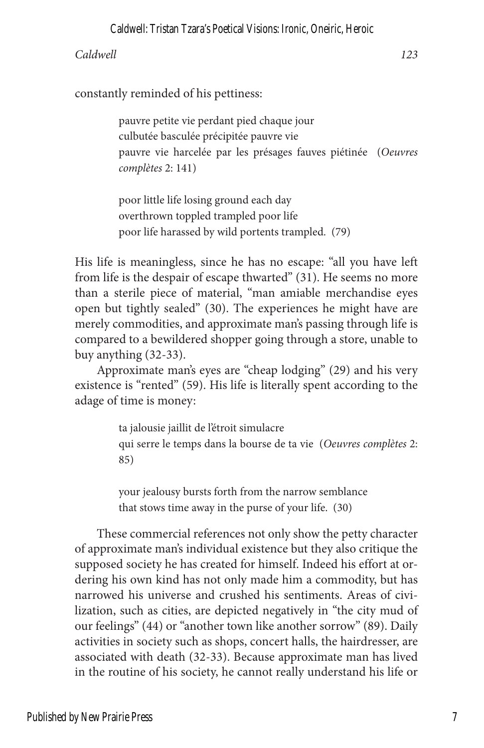### Caldwell: Tristan Tzara's Poetical Visions: Ironic, Oneiric, Heroic

### *Caldwell 123*

constantly reminded of his pettiness:

pauvre petite vie perdant pied chaque jour culbutée basculée précipitée pauvre vie pauvre vie harcelée par les présages fauves piétinée (*Oeuvres complètes* 2: 141)

poor little life losing ground each day overthrown toppled trampled poor life poor life harassed by wild portents trampled. (79)

His life is meaningless, since he has no escape: "all you have left from life is the despair of escape thwarted" (31). He seems no more than a sterile piece of material, "man amiable merchandise eyes open but tightly sealed" (30). The experiences he might have are merely commodities, and approximate man's passing through life is compared to a bewildered shopper going through a store, unable to buy anything (32-33).

Approximate man's eyes are "cheap lodging" (29) and his very existence is "rented" (59). His life is literally spent according to the adage of time is money:

> ta jalousie jaillit de l'étroit simulacre qui serre le temps dans la bourse de ta vie (*Oeuvres complètes* 2: 85)

your jealousy bursts forth from the narrow semblance that stows time away in the purse of your life. (30)

These commercial references not only show the petty character of approximate man's individual existence but they also critique the supposed society he has created for himself. Indeed his effort at ordering his own kind has not only made him a commodity, but has narrowed his universe and crushed his sentiments. Areas of civilization, such as cities, are depicted negatively in "the city mud of our feelings" (44) or "another town like another sorrow" (89). Daily activities in society such as shops, concert halls, the hairdresser, are associated with death (32-33). Because approximate man has lived in the routine of his society, he cannot really understand his life or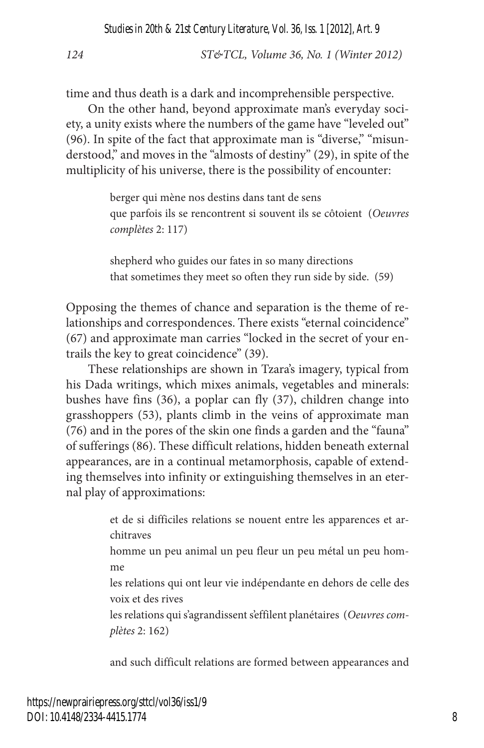*124 ST&TCL, Volume 36, No. 1 (Winter 2012)*

time and thus death is a dark and incomprehensible perspective.

On the other hand, beyond approximate man's everyday society, a unity exists where the numbers of the game have "leveled out" (96). In spite of the fact that approximate man is "diverse," "misunderstood," and moves in the "almosts of destiny" (29), in spite of the multiplicity of his universe, there is the possibility of encounter:

> berger qui mène nos destins dans tant de sens que parfois ils se rencontrent si souvent ils se côtoient (*Oeuvres complètes* 2: 117)

shepherd who guides our fates in so many directions that sometimes they meet so often they run side by side. (59)

Opposing the themes of chance and separation is the theme of relationships and correspondences. There exists "eternal coincidence" (67) and approximate man carries "locked in the secret of your entrails the key to great coincidence" (39).

These relationships are shown in Tzara's imagery, typical from his Dada writings, which mixes animals, vegetables and minerals: bushes have fins (36), a poplar can fly (37), children change into grasshoppers (53), plants climb in the veins of approximate man (76) and in the pores of the skin one finds a garden and the "fauna" of sufferings (86). These difficult relations, hidden beneath external appearances, are in a continual metamorphosis, capable of extending themselves into infinity or extinguishing themselves in an eternal play of approximations:

> et de si difficiles relations se nouent entre les apparences et architraves

> homme un peu animal un peu fleur un peu métal un peu homme

> les relations qui ont leur vie indépendante en dehors de celle des voix et des rives

> les relations qui s'agrandissent s'effilent planétaires (*Oeuvres complètes* 2: 162)

> and such difficult relations are formed between appearances and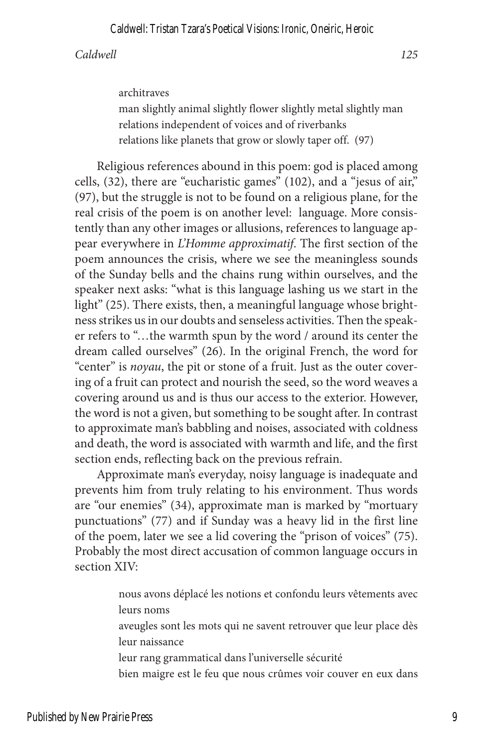architraves man slightly animal slightly flower slightly metal slightly man relations independent of voices and of riverbanks relations like planets that grow or slowly taper off. (97)

Religious references abound in this poem: god is placed among cells, (32), there are "eucharistic games" (102), and a "jesus of air," (97), but the struggle is not to be found on a religious plane, for the real crisis of the poem is on another level: language. More consistently than any other images or allusions, references to language appear everywhere in *L'Homme approximatif*. The first section of the poem announces the crisis, where we see the meaningless sounds of the Sunday bells and the chains rung within ourselves, and the speaker next asks: "what is this language lashing us we start in the light" (25). There exists, then, a meaningful language whose brightness strikes us in our doubts and senseless activities. Then the speaker refers to "…the warmth spun by the word / around its center the dream called ourselves" (26). In the original French, the word for "center" is *noyau*, the pit or stone of a fruit. Just as the outer covering of a fruit can protect and nourish the seed, so the word weaves a covering around us and is thus our access to the exterior. However, the word is not a given, but something to be sought after. In contrast to approximate man's babbling and noises, associated with coldness and death, the word is associated with warmth and life, and the first section ends, reflecting back on the previous refrain.

Approximate man's everyday, noisy language is inadequate and prevents him from truly relating to his environment. Thus words are "our enemies" (34), approximate man is marked by "mortuary punctuations" (77) and if Sunday was a heavy lid in the first line of the poem, later we see a lid covering the "prison of voices" (75). Probably the most direct accusation of common language occurs in section XIV:

> nous avons déplacé les notions et confondu leurs vêtements avec leurs noms aveugles sont les mots qui ne savent retrouver que leur place dès leur naissance leur rang grammatical dans l'universelle sécurité

> bien maigre est le feu que nous crûmes voir couver en eux dans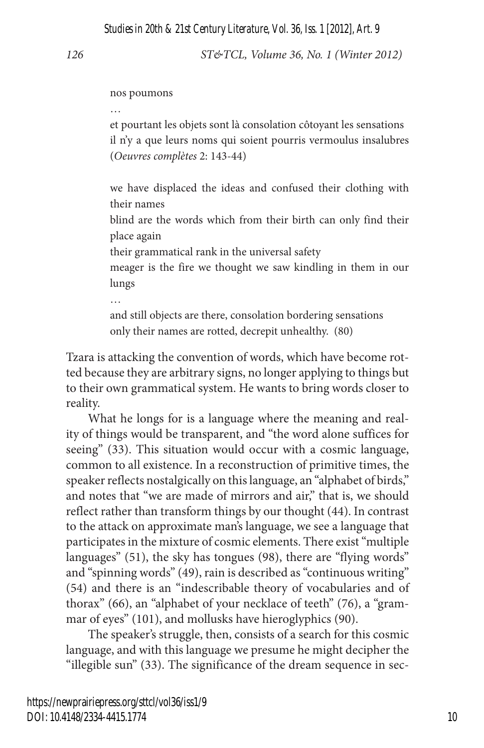#### nos poumons

…

…

et pourtant les objets sont là consolation côtoyant les sensations il n'y a que leurs noms qui soient pourris vermoulus insalubres (*Oeuvres complètes* 2: 143-44)

we have displaced the ideas and confused their clothing with their names

blind are the words which from their birth can only find their place again

their grammatical rank in the universal safety

meager is the fire we thought we saw kindling in them in our lungs

and still objects are there, consolation bordering sensations only their names are rotted, decrepit unhealthy. (80)

Tzara is attacking the convention of words, which have become rotted because they are arbitrary signs, no longer applying to things but to their own grammatical system. He wants to bring words closer to reality.

What he longs for is a language where the meaning and reality of things would be transparent, and "the word alone suffices for seeing" (33). This situation would occur with a cosmic language, common to all existence. In a reconstruction of primitive times, the speaker reflects nostalgically on this language, an "alphabet of birds," and notes that "we are made of mirrors and air," that is, we should reflect rather than transform things by our thought (44). In contrast to the attack on approximate man's language, we see a language that participates in the mixture of cosmic elements. There exist "multiple languages" (51), the sky has tongues (98), there are "flying words" and "spinning words" (49), rain is described as "continuous writing" (54) and there is an "indescribable theory of vocabularies and of thorax" (66), an "alphabet of your necklace of teeth" (76), a "grammar of eyes" (101), and mollusks have hieroglyphics (90).

The speaker's struggle, then, consists of a search for this cosmic language, and with this language we presume he might decipher the "illegible sun" (33). The significance of the dream sequence in sec-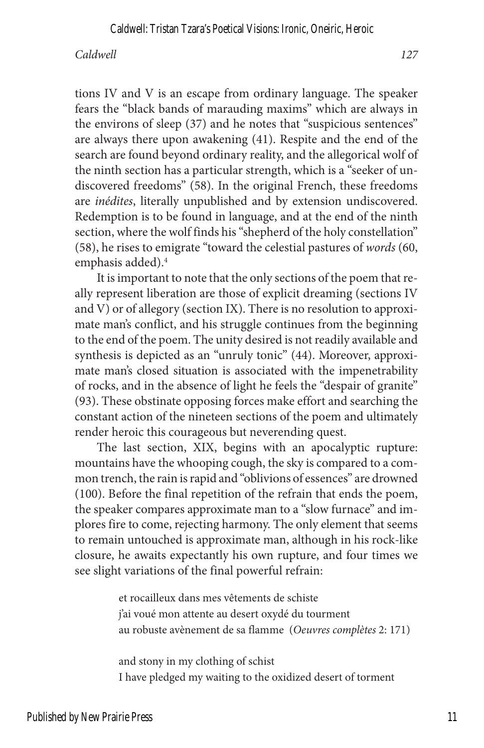tions IV and V is an escape from ordinary language. The speaker fears the "black bands of marauding maxims" which are always in the environs of sleep (37) and he notes that "suspicious sentences" are always there upon awakening (41). Respite and the end of the search are found beyond ordinary reality, and the allegorical wolf of the ninth section has a particular strength, which is a "seeker of undiscovered freedoms" (58). In the original French, these freedoms are *inédites*, literally unpublished and by extension undiscovered. Redemption is to be found in language, and at the end of the ninth section, where the wolf finds his "shepherd of the holy constellation" (58), he rises to emigrate "toward the celestial pastures of *words* (60, emphasis added).<sup>4</sup>

It is important to note that the only sections of the poem that really represent liberation are those of explicit dreaming (sections IV and V) or of allegory (section IX). There is no resolution to approximate man's conflict, and his struggle continues from the beginning to the end of the poem. The unity desired is not readily available and synthesis is depicted as an "unruly tonic" (44). Moreover, approximate man's closed situation is associated with the impenetrability of rocks, and in the absence of light he feels the "despair of granite" (93). These obstinate opposing forces make effort and searching the constant action of the nineteen sections of the poem and ultimately render heroic this courageous but neverending quest.

The last section, XIX, begins with an apocalyptic rupture: mountains have the whooping cough, the sky is compared to a common trench, the rain is rapid and "oblivions of essences" are drowned (100). Before the final repetition of the refrain that ends the poem, the speaker compares approximate man to a "slow furnace" and implores fire to come, rejecting harmony. The only element that seems to remain untouched is approximate man, although in his rock-like closure, he awaits expectantly his own rupture, and four times we see slight variations of the final powerful refrain:

> et rocailleux dans mes vêtements de schiste j'ai voué mon attente au desert oxydé du tourment au robuste avènement de sa flamme (*Oeuvres complètes* 2: 171)

and stony in my clothing of schist I have pledged my waiting to the oxidized desert of torment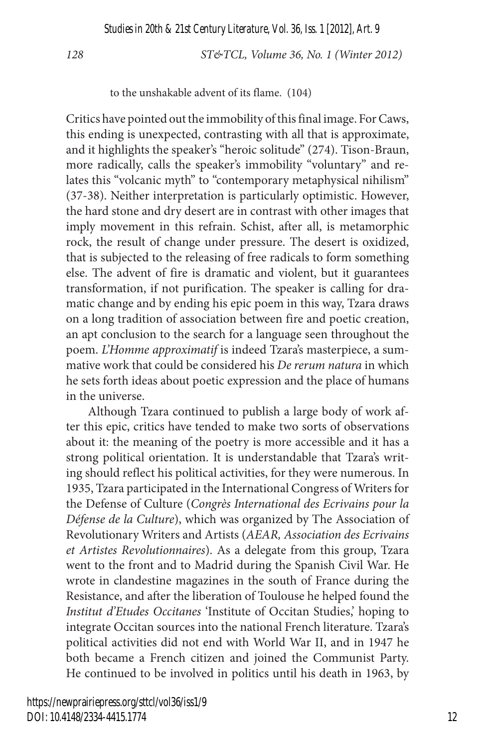*Studies in 20th & 21st Century Literature, Vol. 36, Iss. 1 [2012], Art. 9*

*128 ST&TCL, Volume 36, No. 1 (Winter 2012)*

to the unshakable advent of its flame. (104)

Critics have pointed out the immobility of this final image. For Caws, this ending is unexpected, contrasting with all that is approximate, and it highlights the speaker's "heroic solitude" (274). Tison-Braun, more radically, calls the speaker's immobility "voluntary" and relates this "volcanic myth" to "contemporary metaphysical nihilism" (37-38). Neither interpretation is particularly optimistic. However, the hard stone and dry desert are in contrast with other images that imply movement in this refrain. Schist, after all, is metamorphic rock, the result of change under pressure. The desert is oxidized, that is subjected to the releasing of free radicals to form something else. The advent of fire is dramatic and violent, but it guarantees transformation, if not purification. The speaker is calling for dramatic change and by ending his epic poem in this way, Tzara draws on a long tradition of association between fire and poetic creation, an apt conclusion to the search for a language seen throughout the poem. *L'Homme approximatif* is indeed Tzara's masterpiece, a summative work that could be considered his *De rerum natura* in which he sets forth ideas about poetic expression and the place of humans in the universe.

Although Tzara continued to publish a large body of work after this epic, critics have tended to make two sorts of observations about it: the meaning of the poetry is more accessible and it has a strong political orientation. It is understandable that Tzara's writing should reflect his political activities, for they were numerous. In 1935, Tzara participated in the International Congress of Writers for the Defense of Culture (*Congrès International des Ecrivains pour la Défense de la Culture*), which was organized by The Association of Revolutionary Writers and Artists (*AEAR, Association des Ecrivains et Artistes Revolutionnaires*). As a delegate from this group, Tzara went to the front and to Madrid during the Spanish Civil War. He wrote in clandestine magazines in the south of France during the Resistance, and after the liberation of Toulouse he helped found the *Institut d'Etudes Occitanes* 'Institute of Occitan Studies,' hoping to integrate Occitan sources into the national French literature. Tzara's political activities did not end with World War II, and in 1947 he both became a French citizen and joined the Communist Party. He continued to be involved in politics until his death in 1963, by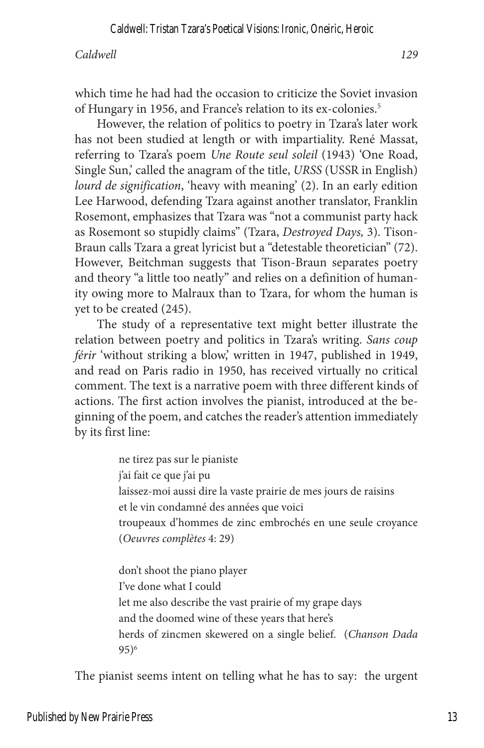which time he had had the occasion to criticize the Soviet invasion of Hungary in 1956, and France's relation to its ex-colonies.<sup>5</sup>

However, the relation of politics to poetry in Tzara's later work has not been studied at length or with impartiality. René Massat, referring to Tzara's poem *Une Route seul soleil* (1943) 'One Road, Single Sun,' called the anagram of the title, *URSS* (USSR in English) *lourd de signification*, 'heavy with meaning' (2). In an early edition Lee Harwood, defending Tzara against another translator, Franklin Rosemont, emphasizes that Tzara was "not a communist party hack as Rosemont so stupidly claims" (Tzara, *Destroyed Days,* 3). Tison-Braun calls Tzara a great lyricist but a "detestable theoretician" (72). However, Beitchman suggests that Tison-Braun separates poetry and theory "a little too neatly" and relies on a definition of humanity owing more to Malraux than to Tzara, for whom the human is yet to be created (245).

The study of a representative text might better illustrate the relation between poetry and politics in Tzara's writing. *Sans coup férir* 'without striking a blow,' written in 1947, published in 1949, and read on Paris radio in 1950, has received virtually no critical comment. The text is a narrative poem with three different kinds of actions. The first action involves the pianist, introduced at the beginning of the poem, and catches the reader's attention immediately by its first line:

> ne tirez pas sur le pianiste j'ai fait ce que j'ai pu laissez-moi aussi dire la vaste prairie de mes jours de raisins et le vin condamné des années que voici troupeaux d'hommes de zinc embrochés en une seule croyance (*Oeuvres complètes* 4: 29)

> don't shoot the piano player I've done what I could let me also describe the vast prairie of my grape days and the doomed wine of these years that here's herds of zincmen skewered on a single belief. (*Chanson Dada* 95)6

The pianist seems intent on telling what he has to say: the urgent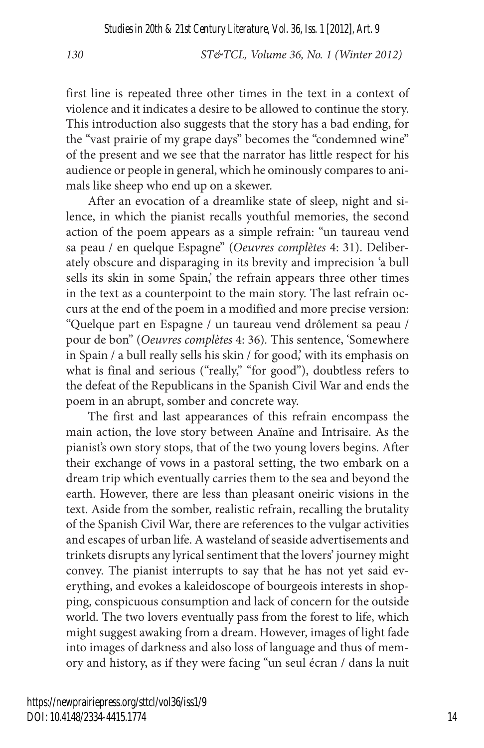first line is repeated three other times in the text in a context of violence and it indicates a desire to be allowed to continue the story. This introduction also suggests that the story has a bad ending, for the "vast prairie of my grape days" becomes the "condemned wine" of the present and we see that the narrator has little respect for his audience or people in general, which he ominously compares to animals like sheep who end up on a skewer.

After an evocation of a dreamlike state of sleep, night and silence, in which the pianist recalls youthful memories, the second action of the poem appears as a simple refrain: "un taureau vend sa peau / en quelque Espagne" (*Oeuvres complètes* 4: 31). Deliberately obscure and disparaging in its brevity and imprecision 'a bull sells its skin in some Spain,' the refrain appears three other times in the text as a counterpoint to the main story. The last refrain occurs at the end of the poem in a modified and more precise version: "Quelque part en Espagne / un taureau vend drôlement sa peau / pour de bon" (*Oeuvres complètes* 4: 36)*.* This sentence, 'Somewhere in Spain / a bull really sells his skin / for good,' with its emphasis on what is final and serious ("really," "for good"), doubtless refers to the defeat of the Republicans in the Spanish Civil War and ends the poem in an abrupt, somber and concrete way.

The first and last appearances of this refrain encompass the main action, the love story between Anaïne and Intrisaire. As the pianist's own story stops, that of the two young lovers begins. After their exchange of vows in a pastoral setting, the two embark on a dream trip which eventually carries them to the sea and beyond the earth. However, there are less than pleasant oneiric visions in the text. Aside from the somber, realistic refrain, recalling the brutality of the Spanish Civil War, there are references to the vulgar activities and escapes of urban life. A wasteland of seaside advertisements and trinkets disrupts any lyrical sentiment that the lovers' journey might convey. The pianist interrupts to say that he has not yet said everything, and evokes a kaleidoscope of bourgeois interests in shopping, conspicuous consumption and lack of concern for the outside world. The two lovers eventually pass from the forest to life, which might suggest awaking from a dream. However, images of light fade into images of darkness and also loss of language and thus of memory and history, as if they were facing "un seul écran / dans la nuit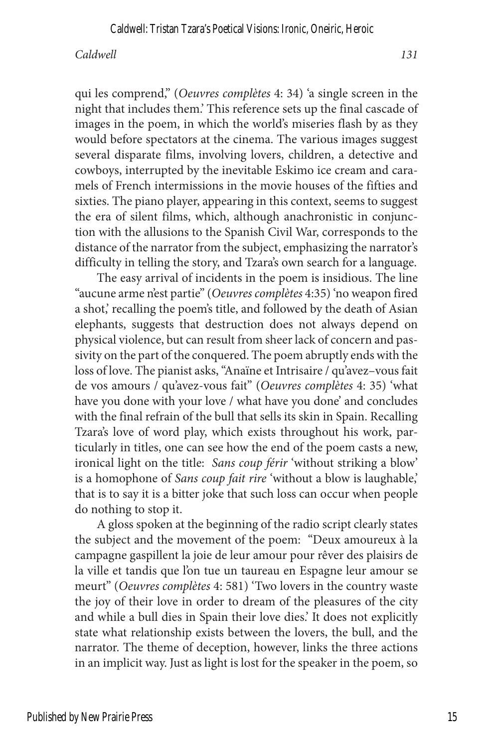qui les comprend," (*Oeuvres complètes* 4: 34) 'a single screen in the night that includes them.' This reference sets up the final cascade of images in the poem, in which the world's miseries flash by as they would before spectators at the cinema. The various images suggest several disparate films, involving lovers, children, a detective and cowboys, interrupted by the inevitable Eskimo ice cream and caramels of French intermissions in the movie houses of the fifties and sixties. The piano player, appearing in this context, seems to suggest the era of silent films, which, although anachronistic in conjunction with the allusions to the Spanish Civil War, corresponds to the distance of the narrator from the subject, emphasizing the narrator's difficulty in telling the story, and Tzara's own search for a language.

The easy arrival of incidents in the poem is insidious. The line "aucune arme n'est partie" (*Oeuvres complètes* 4:35) 'no weapon fired a shot,' recalling the poem's title, and followed by the death of Asian elephants, suggests that destruction does not always depend on physical violence, but can result from sheer lack of concern and passivity on the part of the conquered. The poem abruptly ends with the loss of love. The pianist asks, "Anaïne et Intrisaire / qu'avez–vous fait de vos amours / qu'avez-vous fait" (*Oeuvres complètes* 4: 35) 'what have you done with your love / what have you done' and concludes with the final refrain of the bull that sells its skin in Spain. Recalling Tzara's love of word play, which exists throughout his work, particularly in titles, one can see how the end of the poem casts a new, ironical light on the title: *Sans coup férir* 'without striking a blow' is a homophone of *Sans coup fait rire* 'without a blow is laughable,' that is to say it is a bitter joke that such loss can occur when people do nothing to stop it.

A gloss spoken at the beginning of the radio script clearly states the subject and the movement of the poem: "Deux amoureux à la campagne gaspillent la joie de leur amour pour rêver des plaisirs de la ville et tandis que l'on tue un taureau en Espagne leur amour se meurt" (*Oeuvres complètes* 4: 581) 'Two lovers in the country waste the joy of their love in order to dream of the pleasures of the city and while a bull dies in Spain their love dies.' It does not explicitly state what relationship exists between the lovers, the bull, and the narrator. The theme of deception, however, links the three actions in an implicit way. Just as light is lost for the speaker in the poem, so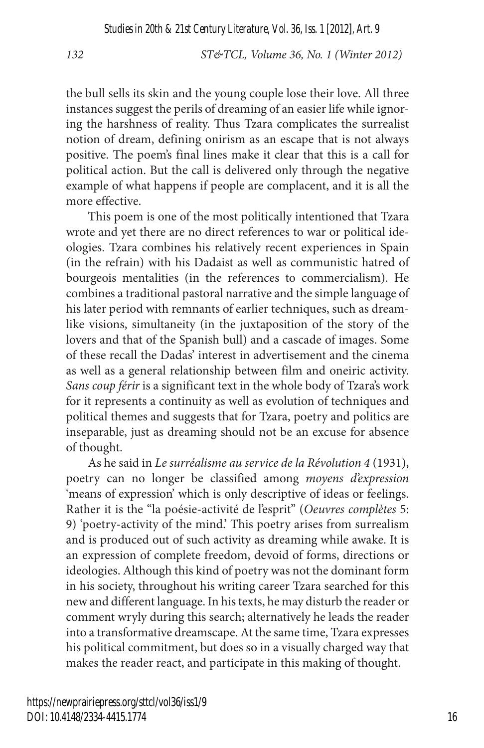*Studies in 20th & 21st Century Literature, Vol. 36, Iss. 1 [2012], Art. 9*

*132 ST&TCL, Volume 36, No. 1 (Winter 2012)*

the bull sells its skin and the young couple lose their love. All three instances suggest the perils of dreaming of an easier life while ignoring the harshness of reality. Thus Tzara complicates the surrealist notion of dream, defining onirism as an escape that is not always positive. The poem's final lines make it clear that this is a call for political action. But the call is delivered only through the negative example of what happens if people are complacent, and it is all the more effective.

This poem is one of the most politically intentioned that Tzara wrote and yet there are no direct references to war or political ideologies. Tzara combines his relatively recent experiences in Spain (in the refrain) with his Dadaist as well as communistic hatred of bourgeois mentalities (in the references to commercialism). He combines a traditional pastoral narrative and the simple language of his later period with remnants of earlier techniques, such as dreamlike visions, simultaneity (in the juxtaposition of the story of the lovers and that of the Spanish bull) and a cascade of images. Some of these recall the Dadas' interest in advertisement and the cinema as well as a general relationship between film and oneiric activity. *Sans coup férir* is a significant text in the whole body of Tzara's work for it represents a continuity as well as evolution of techniques and political themes and suggests that for Tzara, poetry and politics are inseparable, just as dreaming should not be an excuse for absence of thought.

As he said in *Le surréalisme au service de la Révolution 4* (1931), poetry can no longer be classified among *moyens d'expression* 'means of expression' which is only descriptive of ideas or feelings. Rather it is the "la poésie-activité de l'esprit" (*Oeuvres complètes* 5: 9) 'poetry-activity of the mind.' This poetry arises from surrealism and is produced out of such activity as dreaming while awake. It is an expression of complete freedom, devoid of forms, directions or ideologies. Although this kind of poetry was not the dominant form in his society, throughout his writing career Tzara searched for this new and different language. In his texts, he may disturb the reader or comment wryly during this search; alternatively he leads the reader into a transformative dreamscape. At the same time, Tzara expresses his political commitment, but does so in a visually charged way that makes the reader react, and participate in this making of thought.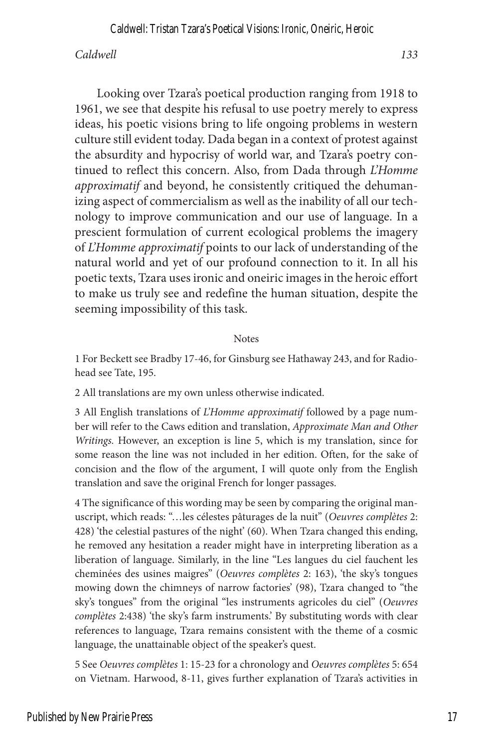Looking over Tzara's poetical production ranging from 1918 to 1961, we see that despite his refusal to use poetry merely to express ideas, his poetic visions bring to life ongoing problems in western culture still evident today. Dada began in a context of protest against the absurdity and hypocrisy of world war, and Tzara's poetry continued to reflect this concern. Also, from Dada through *L'Homme approximatif* and beyond, he consistently critiqued the dehumanizing aspect of commercialism as well as the inability of all our technology to improve communication and our use of language. In a prescient formulation of current ecological problems the imagery of *L'Homme approximatif* points to our lack of understanding of the natural world and yet of our profound connection to it. In all his poetic texts, Tzara uses ironic and oneiric images in the heroic effort to make us truly see and redefine the human situation, despite the seeming impossibility of this task.

#### Notes

1 For Beckett see Bradby 17-46, for Ginsburg see Hathaway 243, and for Radiohead see Tate, 195.

2 All translations are my own unless otherwise indicated.

3 All English translations of *L'Homme approximatif* followed by a page number will refer to the Caws edition and translation, *Approximate Man and Other Writings.* However, an exception is line 5, which is my translation, since for some reason the line was not included in her edition. Often, for the sake of concision and the flow of the argument, I will quote only from the English translation and save the original French for longer passages.

4 The significance of this wording may be seen by comparing the original manuscript, which reads: "…les célestes pâturages de la nuit" (*Oeuvres complètes* 2: 428) 'the celestial pastures of the night' (60). When Tzara changed this ending, he removed any hesitation a reader might have in interpreting liberation as a liberation of language. Similarly, in the line "Les langues du ciel fauchent les cheminées des usines maigres" (*Oeuvres complètes* 2: 163), 'the sky's tongues mowing down the chimneys of narrow factories' (98), Tzara changed to "the sky's tongues" from the original "les instruments agricoles du ciel" (*Oeuvres complètes* 2:438) 'the sky's farm instruments.' By substituting words with clear references to language, Tzara remains consistent with the theme of a cosmic language, the unattainable object of the speaker's quest.

5 See *Oeuvres complètes* 1: 15-23 for a chronology and *Oeuvres complètes* 5: 654 on Vietnam. Harwood, 8-11, gives further explanation of Tzara's activities in